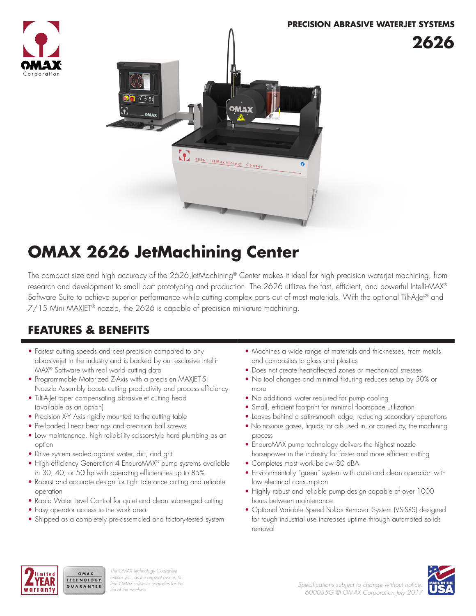



## **OMAX 2626 JetMachining Center**

The compact size and high accuracy of the 2626 JetMachining® Center makes it ideal for high precision waterjet machining, from research and development to small part prototyping and production. The 2626 utilizes the fast, efficient, and powerful Intelli-MAX® Software Suite to achieve superior performance while cutting complex parts out of most materials. With the optional Tilt-A-Jet® and 7/15 Mini MAXJET® nozzle, the 2626 is capable of precision miniature machining.

### **FEATURES & BENEFITS**

- Fastest cutting speeds and best precision compared to any abrasivejet in the industry and is backed by our exclusive Intelli-MAX® Software with real world cutting data
- Programmable Motorized Z-Axis with a precision MAXJET 5i Nozzle Assembly boosts cutting productivity and process efficiency
- Tilt-A-Jet taper compensating abrasivejet cutting head (available as an option)
- Precision X-Y Axis rigidly mounted to the cutting table
- Pre-loaded linear bearings and precision ball screws
- Low maintenance, high reliability scissor-style hard plumbing as an option
- Drive system sealed against water, dirt, and grit
- High efficiency Generation 4 EnduroMAX® pump systems available in 30, 40, or 50 hp with operating efficiencies up to 85%
- Robust and accurate design for tight tolerance cutting and reliable operation
- Rapid Water Level Control for quiet and clean submerged cutting
- Easy operator access to the work area

OMAX TECHNOLOGY

GUARANTEE

• Shipped as a completely pre-assembled and factory-tested system

- Machines a wide range of materials and thicknesses, from metals and composites to glass and plastics
- Does not create heat-affected zones or mechanical stresses
- No tool changes and minimal fixturing reduces setup by 50% or more
- No additional water required for pump cooling
- Small, efficient footprint for minimal floorspace utilization
- Leaves behind a satin-smooth edge, reducing secondary operations
- No noxious gases, liquids, or oils used in, or caused by, the machining process
- EnduroMAX pump technology delivers the highest nozzle horsepower in the industry for faster and more efficient cutting
- Completes most work below 80 dBA
- Environmentally "green" system with quiet and clean operation with low electrical consumption
- Highly robust and reliable pump design capable of over 1000 hours between maintenance
- Optional Variable Speed Solids Removal System (VS-SRS) designed for tough industrial use increases uptime through automated solids removal